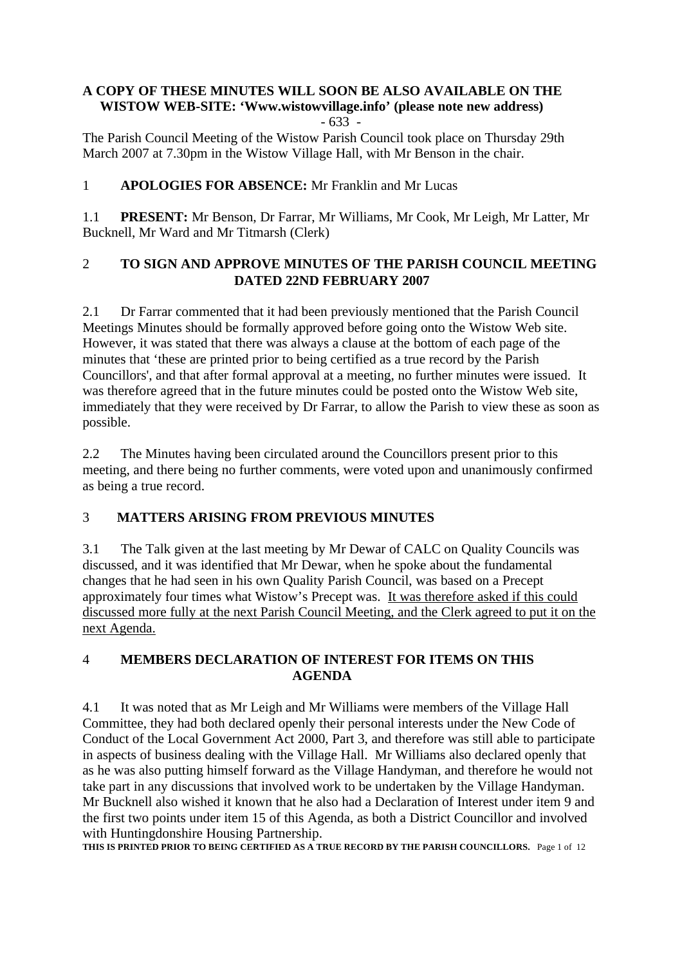#### **A COPY OF THESE MINUTES WILL SOON BE ALSO AVAILABLE ON THE WISTOW WEB-SITE: 'Www.wistowvillage.info' (please note new address)** - 633 -

The Parish Council Meeting of the Wistow Parish Council took place on Thursday 29th March 2007 at 7.30pm in the Wistow Village Hall, with Mr Benson in the chair.

# 1 **APOLOGIES FOR ABSENCE:** Mr Franklin and Mr Lucas

1.1 **PRESENT:** Mr Benson, Dr Farrar, Mr Williams, Mr Cook, Mr Leigh, Mr Latter, Mr Bucknell, Mr Ward and Mr Titmarsh (Clerk)

## 2 **TO SIGN AND APPROVE MINUTES OF THE PARISH COUNCIL MEETING DATED 22ND FEBRUARY 2007**

2.1 Dr Farrar commented that it had been previously mentioned that the Parish Council Meetings Minutes should be formally approved before going onto the Wistow Web site. However, it was stated that there was always a clause at the bottom of each page of the minutes that 'these are printed prior to being certified as a true record by the Parish Councillors', and that after formal approval at a meeting, no further minutes were issued. It was therefore agreed that in the future minutes could be posted onto the Wistow Web site, immediately that they were received by Dr Farrar, to allow the Parish to view these as soon as possible.

2.2 The Minutes having been circulated around the Councillors present prior to this meeting, and there being no further comments, were voted upon and unanimously confirmed as being a true record.

# 3 **MATTERS ARISING FROM PREVIOUS MINUTES**

3.1 The Talk given at the last meeting by Mr Dewar of CALC on Quality Councils was discussed, and it was identified that Mr Dewar, when he spoke about the fundamental changes that he had seen in his own Quality Parish Council, was based on a Precept approximately four times what Wistow's Precept was. It was therefore asked if this could discussed more fully at the next Parish Council Meeting, and the Clerk agreed to put it on the next Agenda.

# 4 **MEMBERS DECLARATION OF INTEREST FOR ITEMS ON THIS AGENDA**

4.1 It was noted that as Mr Leigh and Mr Williams were members of the Village Hall Committee, they had both declared openly their personal interests under the New Code of Conduct of the Local Government Act 2000, Part 3, and therefore was still able to participate in aspects of business dealing with the Village Hall. Mr Williams also declared openly that as he was also putting himself forward as the Village Handyman, and therefore he would not take part in any discussions that involved work to be undertaken by the Village Handyman. Mr Bucknell also wished it known that he also had a Declaration of Interest under item 9 and the first two points under item 15 of this Agenda, as both a District Councillor and involved with Huntingdonshire Housing Partnership.

**THIS IS PRINTED PRIOR TO BEING CERTIFIED AS A TRUE RECORD BY THE PARISH COUNCILLORS.** Page 1 of 12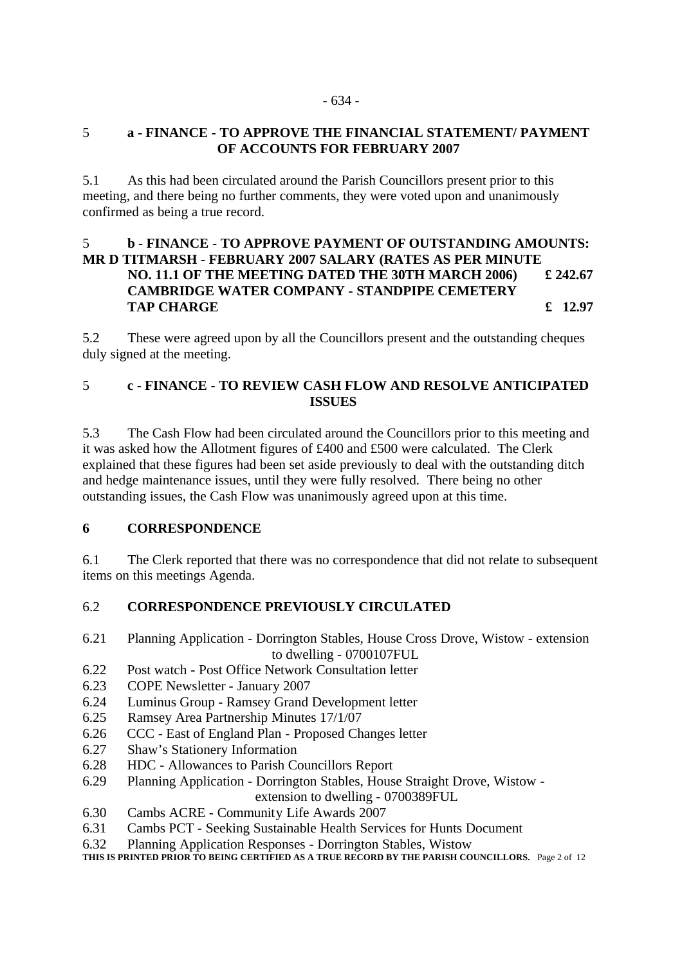### 5 **a - FINANCE - TO APPROVE THE FINANCIAL STATEMENT/ PAYMENT OF ACCOUNTS FOR FEBRUARY 2007**

5.1 As this had been circulated around the Parish Councillors present prior to this meeting, and there being no further comments, they were voted upon and unanimously confirmed as being a true record.

### 5 **b - FINANCE - TO APPROVE PAYMENT OF OUTSTANDING AMOUNTS: MR D TITMARSH - FEBRUARY 2007 SALARY (RATES AS PER MINUTE NO. 11.1 OF THE MEETING DATED THE 30TH MARCH 2006) £ 242.67 CAMBRIDGE WATER COMPANY - STANDPIPE CEMETERY TAP CHARGE Example 2012 12:97**

5.2 These were agreed upon by all the Councillors present and the outstanding cheques duly signed at the meeting.

## 5 **c - FINANCE - TO REVIEW CASH FLOW AND RESOLVE ANTICIPATED ISSUES**

5.3 The Cash Flow had been circulated around the Councillors prior to this meeting and it was asked how the Allotment figures of £400 and £500 were calculated. The Clerk explained that these figures had been set aside previously to deal with the outstanding ditch and hedge maintenance issues, until they were fully resolved. There being no other outstanding issues, the Cash Flow was unanimously agreed upon at this time.

### **6 CORRESPONDENCE**

6.1 The Clerk reported that there was no correspondence that did not relate to subsequent items on this meetings Agenda.

### 6.2 **CORRESPONDENCE PREVIOUSLY CIRCULATED**

- 6.21 Planning Application Dorrington Stables, House Cross Drove, Wistow extension to dwelling - 0700107FUL
- 6.22 Post watch Post Office Network Consultation letter
- 6.23 COPE Newsletter January 2007
- 6.24 Luminus Group Ramsey Grand Development letter
- 6.25 Ramsey Area Partnership Minutes 17/1/07
- 6.26 CCC East of England Plan Proposed Changes letter
- 6.27 Shaw's Stationery Information
- 6.28 HDC Allowances to Parish Councillors Report
- 6.29 Planning Application Dorrington Stables, House Straight Drove, Wistow extension to dwelling - 0700389FUL
- 6.30 Cambs ACRE Community Life Awards 2007
- 6.31 Cambs PCT Seeking Sustainable Health Services for Hunts Document
- 6.32 Planning Application Responses Dorrington Stables, Wistow
- **THIS IS PRINTED PRIOR TO BEING CERTIFIED AS A TRUE RECORD BY THE PARISH COUNCILLORS.** Page 2 of 12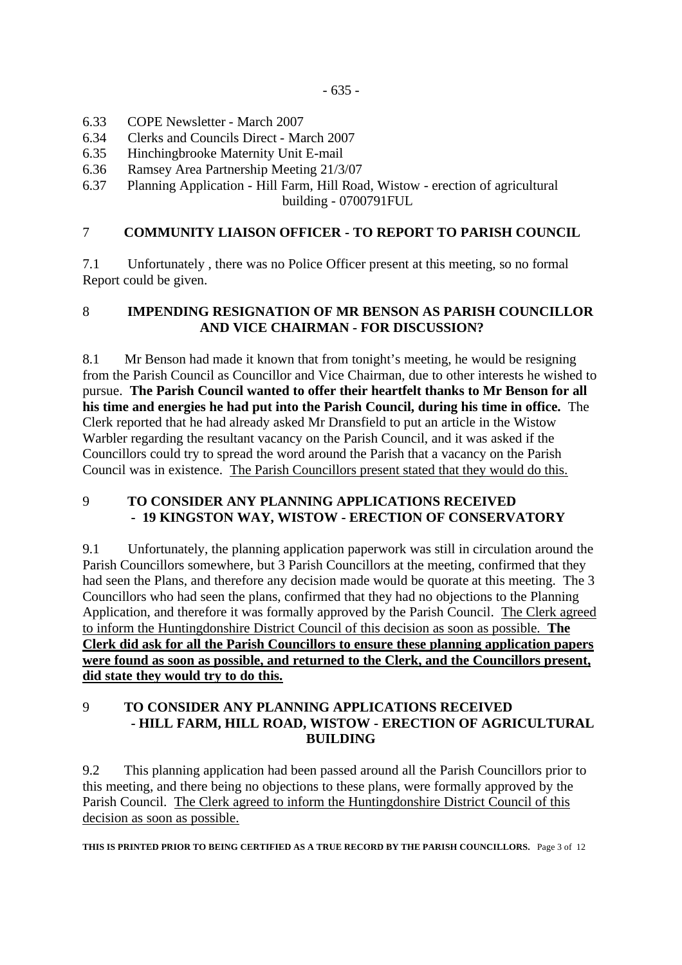- 6.33 COPE Newsletter March 2007
- 6.34 Clerks and Councils Direct March 2007
- 6.35 Hinchingbrooke Maternity Unit E-mail
- 6.36 Ramsey Area Partnership Meeting 21/3/07
- 6.37 Planning Application Hill Farm, Hill Road, Wistow erection of agricultural building - 0700791FUL

# 7 **COMMUNITY LIAISON OFFICER - TO REPORT TO PARISH COUNCIL**

7.1 Unfortunately , there was no Police Officer present at this meeting, so no formal Report could be given.

## 8 **IMPENDING RESIGNATION OF MR BENSON AS PARISH COUNCILLOR AND VICE CHAIRMAN - FOR DISCUSSION?**

8.1 Mr Benson had made it known that from tonight's meeting, he would be resigning from the Parish Council as Councillor and Vice Chairman, due to other interests he wished to pursue. **The Parish Council wanted to offer their heartfelt thanks to Mr Benson for all his time and energies he had put into the Parish Council, during his time in office.** The Clerk reported that he had already asked Mr Dransfield to put an article in the Wistow Warbler regarding the resultant vacancy on the Parish Council, and it was asked if the Councillors could try to spread the word around the Parish that a vacancy on the Parish Council was in existence. The Parish Councillors present stated that they would do this.

### 9 **TO CONSIDER ANY PLANNING APPLICATIONS RECEIVED - 19 KINGSTON WAY, WISTOW - ERECTION OF CONSERVATORY**

9.1 Unfortunately, the planning application paperwork was still in circulation around the Parish Councillors somewhere, but 3 Parish Councillors at the meeting, confirmed that they had seen the Plans, and therefore any decision made would be quorate at this meeting. The 3 Councillors who had seen the plans, confirmed that they had no objections to the Planning Application, and therefore it was formally approved by the Parish Council. The Clerk agreed to inform the Huntingdonshire District Council of this decision as soon as possible. **The Clerk did ask for all the Parish Councillors to ensure these planning application papers were found as soon as possible, and returned to the Clerk, and the Councillors present, did state they would try to do this.**

### 9 **TO CONSIDER ANY PLANNING APPLICATIONS RECEIVED - HILL FARM, HILL ROAD, WISTOW - ERECTION OF AGRICULTURAL BUILDING**

9.2 This planning application had been passed around all the Parish Councillors prior to this meeting, and there being no objections to these plans, were formally approved by the Parish Council. The Clerk agreed to inform the Huntingdonshire District Council of this decision as soon as possible.

**THIS IS PRINTED PRIOR TO BEING CERTIFIED AS A TRUE RECORD BY THE PARISH COUNCILLORS.** Page 3 of 12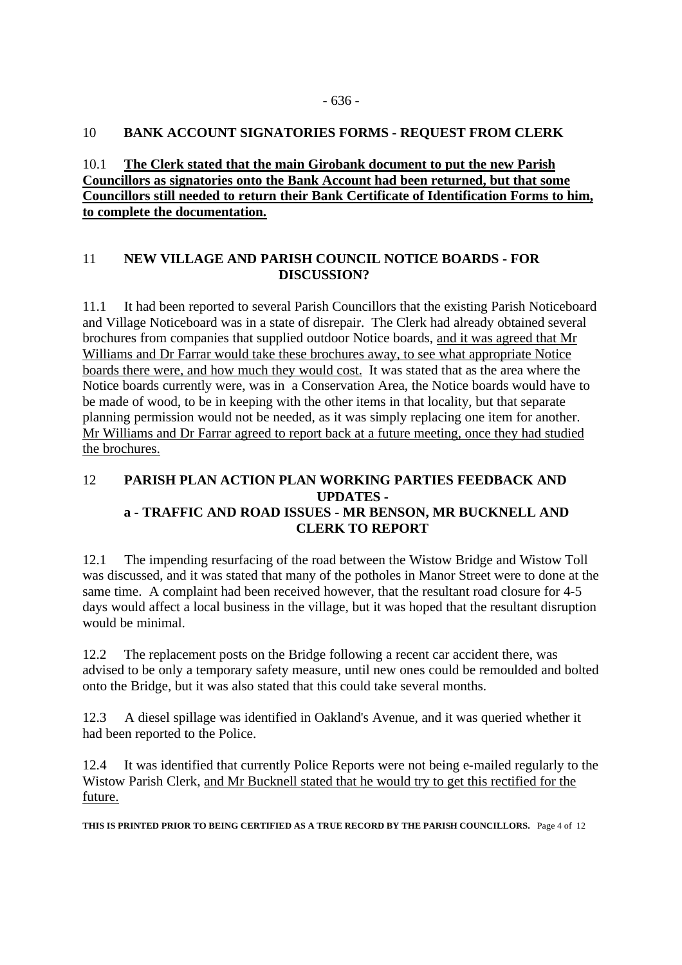#### 10 **BANK ACCOUNT SIGNATORIES FORMS - REQUEST FROM CLERK**

### 10.1 **The Clerk stated that the main Girobank document to put the new Parish Councillors as signatories onto the Bank Account had been returned, but that some Councillors still needed to return their Bank Certificate of Identification Forms to him, to complete the documentation.**

### 11 **NEW VILLAGE AND PARISH COUNCIL NOTICE BOARDS - FOR DISCUSSION?**

11.1 It had been reported to several Parish Councillors that the existing Parish Noticeboard and Village Noticeboard was in a state of disrepair. The Clerk had already obtained several brochures from companies that supplied outdoor Notice boards, and it was agreed that Mr Williams and Dr Farrar would take these brochures away, to see what appropriate Notice boards there were, and how much they would cost. It was stated that as the area where the Notice boards currently were, was in a Conservation Area, the Notice boards would have to be made of wood, to be in keeping with the other items in that locality, but that separate planning permission would not be needed, as it was simply replacing one item for another. Mr Williams and Dr Farrar agreed to report back at a future meeting, once they had studied the brochures.

# 12 **PARISH PLAN ACTION PLAN WORKING PARTIES FEEDBACK AND UPDATES a - TRAFFIC AND ROAD ISSUES - MR BENSON, MR BUCKNELL AND CLERK TO REPORT**

12.1 The impending resurfacing of the road between the Wistow Bridge and Wistow Toll was discussed, and it was stated that many of the potholes in Manor Street were to done at the same time. A complaint had been received however, that the resultant road closure for 4-5 days would affect a local business in the village, but it was hoped that the resultant disruption would be minimal.

12.2 The replacement posts on the Bridge following a recent car accident there, was advised to be only a temporary safety measure, until new ones could be remoulded and bolted onto the Bridge, but it was also stated that this could take several months.

12.3 A diesel spillage was identified in Oakland's Avenue, and it was queried whether it had been reported to the Police.

12.4 It was identified that currently Police Reports were not being e-mailed regularly to the Wistow Parish Clerk, and Mr Bucknell stated that he would try to get this rectified for the future.

**THIS IS PRINTED PRIOR TO BEING CERTIFIED AS A TRUE RECORD BY THE PARISH COUNCILLORS.** Page 4 of 12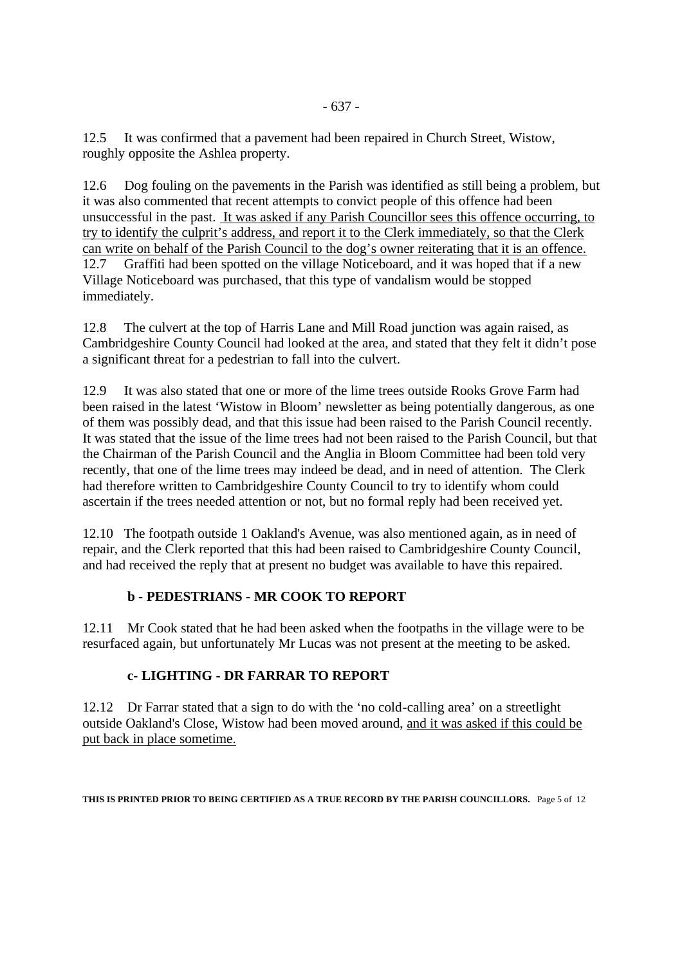12.5 It was confirmed that a pavement had been repaired in Church Street, Wistow, roughly opposite the Ashlea property.

12.6 Dog fouling on the pavements in the Parish was identified as still being a problem, but it was also commented that recent attempts to convict people of this offence had been unsuccessful in the past. It was asked if any Parish Councillor sees this offence occurring, to try to identify the culprit's address, and report it to the Clerk immediately, so that the Clerk can write on behalf of the Parish Council to the dog's owner reiterating that it is an offence. 12.7 Graffiti had been spotted on the village Noticeboard, and it was hoped that if a new Village Noticeboard was purchased, that this type of vandalism would be stopped immediately.

12.8 The culvert at the top of Harris Lane and Mill Road junction was again raised, as Cambridgeshire County Council had looked at the area, and stated that they felt it didn't pose a significant threat for a pedestrian to fall into the culvert.

12.9 It was also stated that one or more of the lime trees outside Rooks Grove Farm had been raised in the latest 'Wistow in Bloom' newsletter as being potentially dangerous, as one of them was possibly dead, and that this issue had been raised to the Parish Council recently. It was stated that the issue of the lime trees had not been raised to the Parish Council, but that the Chairman of the Parish Council and the Anglia in Bloom Committee had been told very recently, that one of the lime trees may indeed be dead, and in need of attention. The Clerk had therefore written to Cambridgeshire County Council to try to identify whom could ascertain if the trees needed attention or not, but no formal reply had been received yet.

12.10 The footpath outside 1 Oakland's Avenue, was also mentioned again, as in need of repair, and the Clerk reported that this had been raised to Cambridgeshire County Council, and had received the reply that at present no budget was available to have this repaired.

# **b - PEDESTRIANS - MR COOK TO REPORT**

12.11 Mr Cook stated that he had been asked when the footpaths in the village were to be resurfaced again, but unfortunately Mr Lucas was not present at the meeting to be asked.

### **c- LIGHTING - DR FARRAR TO REPORT**

12.12 Dr Farrar stated that a sign to do with the 'no cold-calling area' on a streetlight outside Oakland's Close, Wistow had been moved around, and it was asked if this could be put back in place sometime.

**THIS IS PRINTED PRIOR TO BEING CERTIFIED AS A TRUE RECORD BY THE PARISH COUNCILLORS.** Page 5 of 12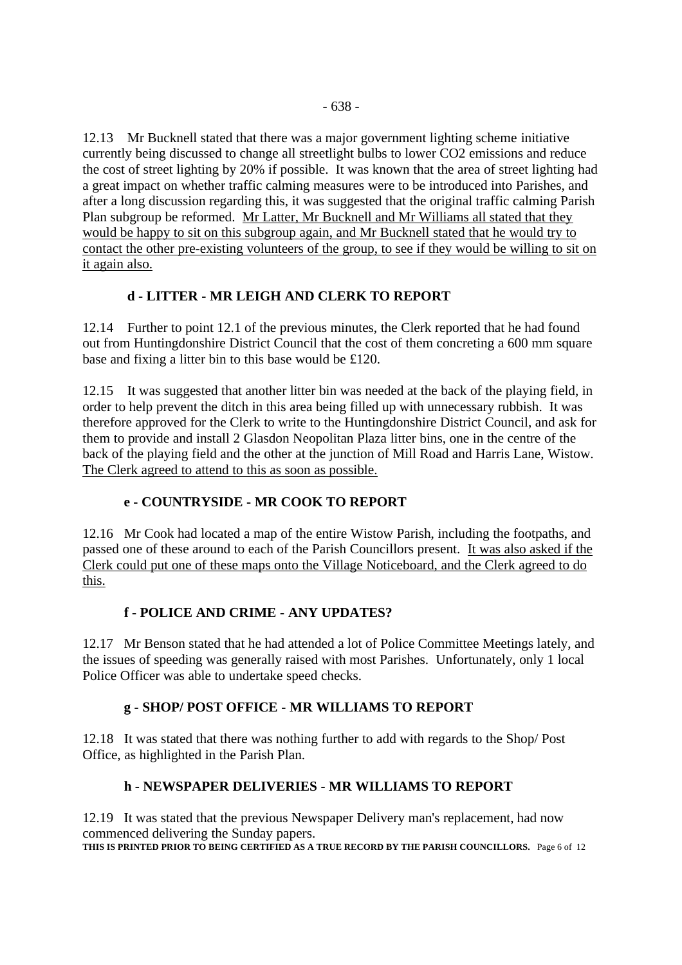12.13 Mr Bucknell stated that there was a major government lighting scheme initiative currently being discussed to change all streetlight bulbs to lower CO2 emissions and reduce the cost of street lighting by 20% if possible. It was known that the area of street lighting had a great impact on whether traffic calming measures were to be introduced into Parishes, and after a long discussion regarding this, it was suggested that the original traffic calming Parish Plan subgroup be reformed. Mr Latter, Mr Bucknell and Mr Williams all stated that they would be happy to sit on this subgroup again, and Mr Bucknell stated that he would try to contact the other pre-existing volunteers of the group, to see if they would be willing to sit on it again also.

# **d - LITTER - MR LEIGH AND CLERK TO REPORT**

12.14 Further to point 12.1 of the previous minutes, the Clerk reported that he had found out from Huntingdonshire District Council that the cost of them concreting a 600 mm square base and fixing a litter bin to this base would be £120.

12.15 It was suggested that another litter bin was needed at the back of the playing field, in order to help prevent the ditch in this area being filled up with unnecessary rubbish. It was therefore approved for the Clerk to write to the Huntingdonshire District Council, and ask for them to provide and install 2 Glasdon Neopolitan Plaza litter bins, one in the centre of the back of the playing field and the other at the junction of Mill Road and Harris Lane, Wistow. The Clerk agreed to attend to this as soon as possible.

# **e - COUNTRYSIDE - MR COOK TO REPORT**

12.16 Mr Cook had located a map of the entire Wistow Parish, including the footpaths, and passed one of these around to each of the Parish Councillors present. It was also asked if the Clerk could put one of these maps onto the Village Noticeboard, and the Clerk agreed to do this.

# **f - POLICE AND CRIME - ANY UPDATES?**

12.17 Mr Benson stated that he had attended a lot of Police Committee Meetings lately, and the issues of speeding was generally raised with most Parishes. Unfortunately, only 1 local Police Officer was able to undertake speed checks.

# **g - SHOP/ POST OFFICE - MR WILLIAMS TO REPORT**

12.18 It was stated that there was nothing further to add with regards to the Shop/ Post Office, as highlighted in the Parish Plan.

# **h - NEWSPAPER DELIVERIES - MR WILLIAMS TO REPORT**

12.19 It was stated that the previous Newspaper Delivery man's replacement, had now commenced delivering the Sunday papers. **THIS IS PRINTED PRIOR TO BEING CERTIFIED AS A TRUE RECORD BY THE PARISH COUNCILLORS.** Page 6 of 12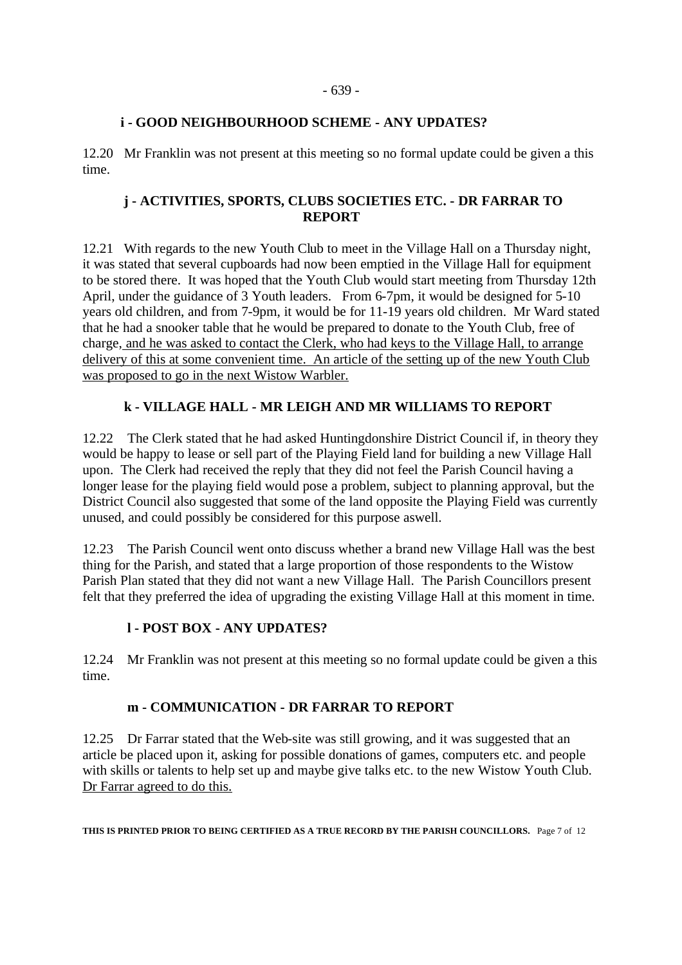#### - 639 -

#### **i - GOOD NEIGHBOURHOOD SCHEME - ANY UPDATES?**

12.20 Mr Franklin was not present at this meeting so no formal update could be given a this time.

### **j - ACTIVITIES, SPORTS, CLUBS SOCIETIES ETC. - DR FARRAR TO REPORT**

12.21 With regards to the new Youth Club to meet in the Village Hall on a Thursday night, it was stated that several cupboards had now been emptied in the Village Hall for equipment to be stored there. It was hoped that the Youth Club would start meeting from Thursday 12th April, under the guidance of 3 Youth leaders. From 6-7pm, it would be designed for 5-10 years old children, and from 7-9pm, it would be for 11-19 years old children. Mr Ward stated that he had a snooker table that he would be prepared to donate to the Youth Club, free of charge, and he was asked to contact the Clerk, who had keys to the Village Hall, to arrange delivery of this at some convenient time. An article of the setting up of the new Youth Club was proposed to go in the next Wistow Warbler.

### **k - VILLAGE HALL - MR LEIGH AND MR WILLIAMS TO REPORT**

12.22 The Clerk stated that he had asked Huntingdonshire District Council if, in theory they would be happy to lease or sell part of the Playing Field land for building a new Village Hall upon. The Clerk had received the reply that they did not feel the Parish Council having a longer lease for the playing field would pose a problem, subject to planning approval, but the District Council also suggested that some of the land opposite the Playing Field was currently unused, and could possibly be considered for this purpose aswell.

12.23 The Parish Council went onto discuss whether a brand new Village Hall was the best thing for the Parish, and stated that a large proportion of those respondents to the Wistow Parish Plan stated that they did not want a new Village Hall. The Parish Councillors present felt that they preferred the idea of upgrading the existing Village Hall at this moment in time.

### **l - POST BOX - ANY UPDATES?**

12.24 Mr Franklin was not present at this meeting so no formal update could be given a this time.

### **m - COMMUNICATION - DR FARRAR TO REPORT**

12.25 Dr Farrar stated that the Web-site was still growing, and it was suggested that an article be placed upon it, asking for possible donations of games, computers etc. and people with skills or talents to help set up and maybe give talks etc. to the new Wistow Youth Club. Dr Farrar agreed to do this.

**THIS IS PRINTED PRIOR TO BEING CERTIFIED AS A TRUE RECORD BY THE PARISH COUNCILLORS.** Page 7 of 12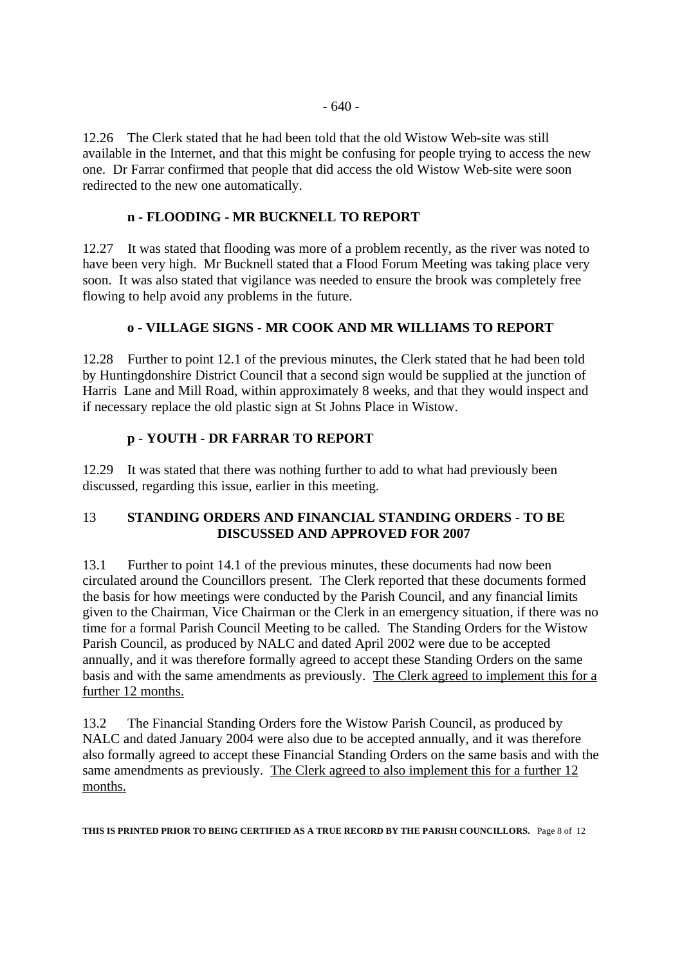12.26 The Clerk stated that he had been told that the old Wistow Web-site was still available in the Internet, and that this might be confusing for people trying to access the new one. Dr Farrar confirmed that people that did access the old Wistow Web-site were soon redirected to the new one automatically.

### **n - FLOODING - MR BUCKNELL TO REPORT**

12.27 It was stated that flooding was more of a problem recently, as the river was noted to have been very high. Mr Bucknell stated that a Flood Forum Meeting was taking place very soon. It was also stated that vigilance was needed to ensure the brook was completely free flowing to help avoid any problems in the future.

### **o - VILLAGE SIGNS - MR COOK AND MR WILLIAMS TO REPORT**

12.28 Further to point 12.1 of the previous minutes, the Clerk stated that he had been told by Huntingdonshire District Council that a second sign would be supplied at the junction of Harris Lane and Mill Road, within approximately 8 weeks, and that they would inspect and if necessary replace the old plastic sign at St Johns Place in Wistow.

### **p** - **YOUTH - DR FARRAR TO REPORT**

12.29 It was stated that there was nothing further to add to what had previously been discussed, regarding this issue, earlier in this meeting.

### 13 **STANDING ORDERS AND FINANCIAL STANDING ORDERS - TO BE DISCUSSED AND APPROVED FOR 2007**

13.1 Further to point 14.1 of the previous minutes, these documents had now been circulated around the Councillors present. The Clerk reported that these documents formed the basis for how meetings were conducted by the Parish Council, and any financial limits given to the Chairman, Vice Chairman or the Clerk in an emergency situation, if there was no time for a formal Parish Council Meeting to be called. The Standing Orders for the Wistow Parish Council, as produced by NALC and dated April 2002 were due to be accepted annually, and it was therefore formally agreed to accept these Standing Orders on the same basis and with the same amendments as previously. The Clerk agreed to implement this for a further 12 months.

13.2 The Financial Standing Orders fore the Wistow Parish Council, as produced by NALC and dated January 2004 were also due to be accepted annually, and it was therefore also formally agreed to accept these Financial Standing Orders on the same basis and with the same amendments as previously. The Clerk agreed to also implement this for a further 12 months.

**THIS IS PRINTED PRIOR TO BEING CERTIFIED AS A TRUE RECORD BY THE PARISH COUNCILLORS.** Page 8 of 12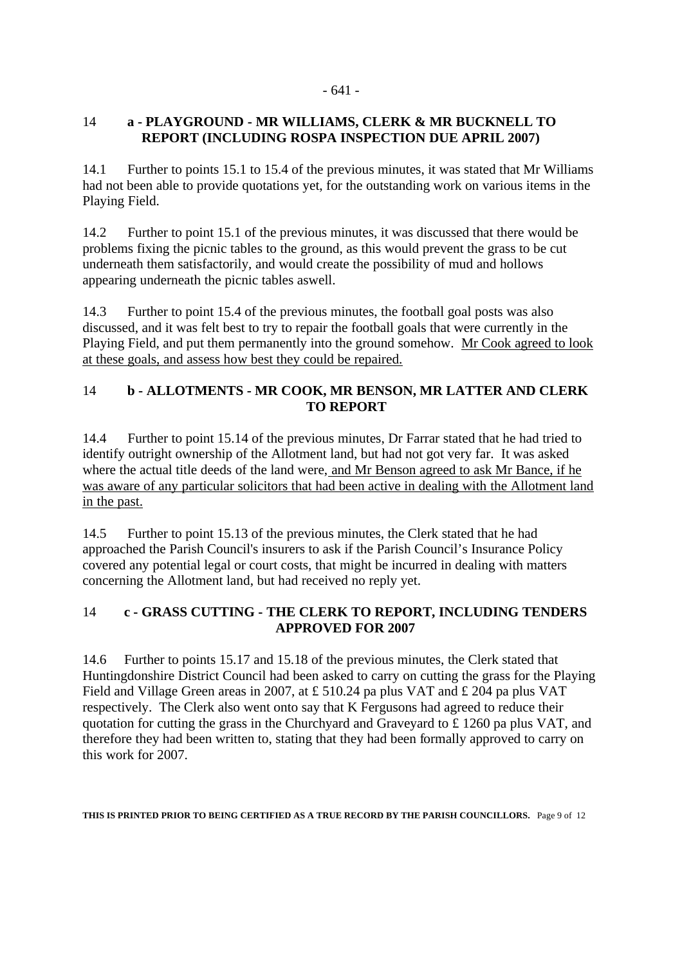#### - 641 -

### 14 **a - PLAYGROUND - MR WILLIAMS, CLERK & MR BUCKNELL TO REPORT (INCLUDING ROSPA INSPECTION DUE APRIL 2007)**

14.1 Further to points 15.1 to 15.4 of the previous minutes, it was stated that Mr Williams had not been able to provide quotations yet, for the outstanding work on various items in the Playing Field.

14.2 Further to point 15.1 of the previous minutes, it was discussed that there would be problems fixing the picnic tables to the ground, as this would prevent the grass to be cut underneath them satisfactorily, and would create the possibility of mud and hollows appearing underneath the picnic tables aswell.

14.3 Further to point 15.4 of the previous minutes, the football goal posts was also discussed, and it was felt best to try to repair the football goals that were currently in the Playing Field, and put them permanently into the ground somehow. Mr Cook agreed to look at these goals, and assess how best they could be repaired.

# 14 **b - ALLOTMENTS - MR COOK, MR BENSON, MR LATTER AND CLERK TO REPORT**

14.4 Further to point 15.14 of the previous minutes, Dr Farrar stated that he had tried to identify outright ownership of the Allotment land, but had not got very far. It was asked where the actual title deeds of the land were, and Mr Benson agreed to ask Mr Bance, if he was aware of any particular solicitors that had been active in dealing with the Allotment land in the past.

14.5 Further to point 15.13 of the previous minutes, the Clerk stated that he had approached the Parish Council's insurers to ask if the Parish Council's Insurance Policy covered any potential legal or court costs, that might be incurred in dealing with matters concerning the Allotment land, but had received no reply yet.

### 14 **c - GRASS CUTTING - THE CLERK TO REPORT, INCLUDING TENDERS APPROVED FOR 2007**

14.6 Further to points 15.17 and 15.18 of the previous minutes, the Clerk stated that Huntingdonshire District Council had been asked to carry on cutting the grass for the Playing Field and Village Green areas in 2007, at £ 510.24 pa plus VAT and £ 204 pa plus VAT respectively. The Clerk also went onto say that K Fergusons had agreed to reduce their quotation for cutting the grass in the Churchyard and Graveyard to £ 1260 pa plus VAT, and therefore they had been written to, stating that they had been formally approved to carry on this work for 2007.

**THIS IS PRINTED PRIOR TO BEING CERTIFIED AS A TRUE RECORD BY THE PARISH COUNCILLORS.** Page 9 of 12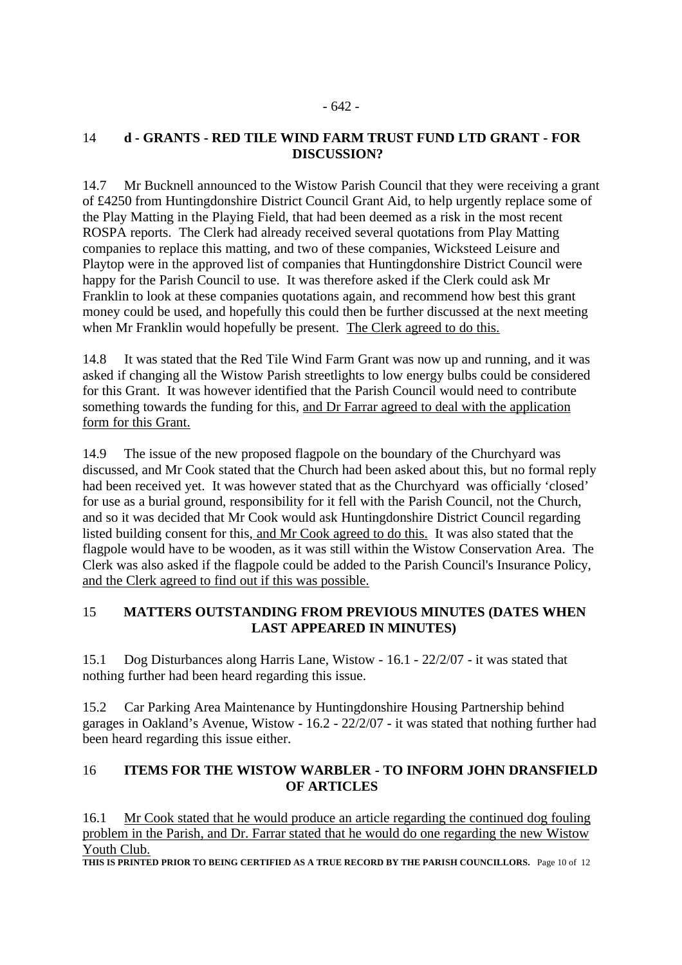## 14 **d - GRANTS - RED TILE WIND FARM TRUST FUND LTD GRANT - FOR DISCUSSION?**

14.7 Mr Bucknell announced to the Wistow Parish Council that they were receiving a grant of £4250 from Huntingdonshire District Council Grant Aid, to help urgently replace some of the Play Matting in the Playing Field, that had been deemed as a risk in the most recent ROSPA reports. The Clerk had already received several quotations from Play Matting companies to replace this matting, and two of these companies, Wicksteed Leisure and Playtop were in the approved list of companies that Huntingdonshire District Council were happy for the Parish Council to use. It was therefore asked if the Clerk could ask Mr Franklin to look at these companies quotations again, and recommend how best this grant money could be used, and hopefully this could then be further discussed at the next meeting when Mr Franklin would hopefully be present. The Clerk agreed to do this.

14.8 It was stated that the Red Tile Wind Farm Grant was now up and running, and it was asked if changing all the Wistow Parish streetlights to low energy bulbs could be considered for this Grant. It was however identified that the Parish Council would need to contribute something towards the funding for this, and Dr Farrar agreed to deal with the application form for this Grant.

14.9 The issue of the new proposed flagpole on the boundary of the Churchyard was discussed, and Mr Cook stated that the Church had been asked about this, but no formal reply had been received yet. It was however stated that as the Churchyard was officially 'closed' for use as a burial ground, responsibility for it fell with the Parish Council, not the Church, and so it was decided that Mr Cook would ask Huntingdonshire District Council regarding listed building consent for this, and Mr Cook agreed to do this. It was also stated that the flagpole would have to be wooden, as it was still within the Wistow Conservation Area. The Clerk was also asked if the flagpole could be added to the Parish Council's Insurance Policy, and the Clerk agreed to find out if this was possible.

### 15 **MATTERS OUTSTANDING FROM PREVIOUS MINUTES (DATES WHEN LAST APPEARED IN MINUTES)**

15.1 Dog Disturbances along Harris Lane, Wistow - 16.1 - 22/2/07 - it was stated that nothing further had been heard regarding this issue.

15.2 Car Parking Area Maintenance by Huntingdonshire Housing Partnership behind garages in Oakland's Avenue, Wistow - 16.2 - 22/2/07 - it was stated that nothing further had been heard regarding this issue either.

# 16 **ITEMS FOR THE WISTOW WARBLER - TO INFORM JOHN DRANSFIELD OF ARTICLES**

16.1 Mr Cook stated that he would produce an article regarding the continued dog fouling problem in the Parish, and Dr. Farrar stated that he would do one regarding the new Wistow Youth Club.

**THIS IS PRINTED PRIOR TO BEING CERTIFIED AS A TRUE RECORD BY THE PARISH COUNCILLORS.** Page 10 of 12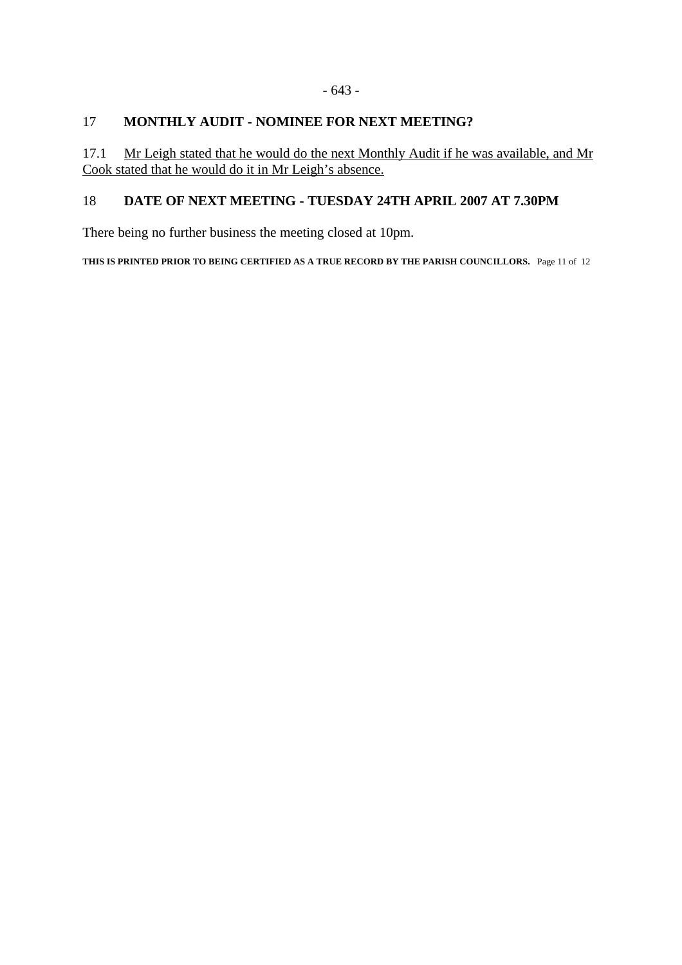#### - 643 -

# 17 **MONTHLY AUDIT - NOMINEE FOR NEXT MEETING?**

17.1 Mr Leigh stated that he would do the next Monthly Audit if he was available, and Mr Cook stated that he would do it in Mr Leigh's absence.

# 18 **DATE OF NEXT MEETING - TUESDAY 24TH APRIL 2007 AT 7.30PM**

There being no further business the meeting closed at 10pm.

**THIS IS PRINTED PRIOR TO BEING CERTIFIED AS A TRUE RECORD BY THE PARISH COUNCILLORS.** Page 11 of 12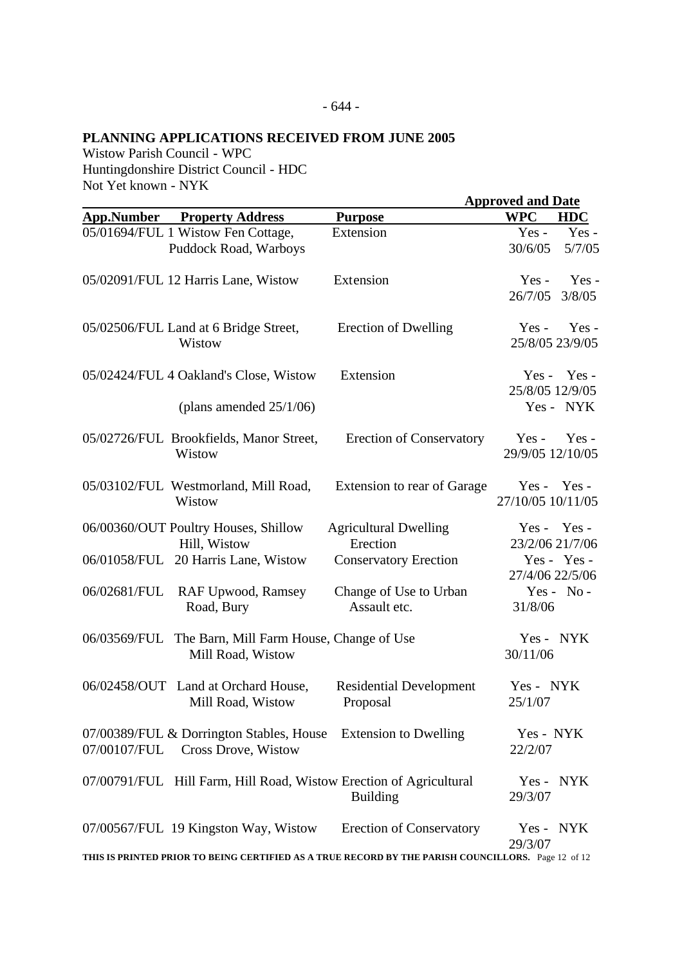# **PLANNING APPLICATIONS RECEIVED FROM JUNE 2005**

Wistow Parish Council - WPC Huntingdonshire District Council - HDC Not Yet known - NYK

|                   |                                                                                             |                                                                                                                                       | <b>Approved and Date</b>                         |  |
|-------------------|---------------------------------------------------------------------------------------------|---------------------------------------------------------------------------------------------------------------------------------------|--------------------------------------------------|--|
| <b>App.Number</b> | <b>Property Address</b>                                                                     | <b>Purpose</b>                                                                                                                        | <b>WPC</b><br><b>HDC</b>                         |  |
|                   | 05/01694/FUL 1 Wistow Fen Cottage,<br>Puddock Road, Warboys                                 | Extension                                                                                                                             | Yes-<br>$Yes -$<br>30/6/05<br>5/7/05             |  |
|                   | 05/02091/FUL 12 Harris Lane, Wistow                                                         | Extension                                                                                                                             | Yes-<br>$Yes -$<br>3/8/05<br>26/7/05             |  |
|                   | 05/02506/FUL Land at 6 Bridge Street,<br>Wistow                                             | Erection of Dwelling                                                                                                                  | $Yes -$<br>$Yes -$<br>25/8/05 23/9/05            |  |
|                   | 05/02424/FUL 4 Oakland's Close, Wistow<br>(plans amended $25/1/06$ )                        | Extension                                                                                                                             | $Yes -$<br>Yes -<br>25/8/05 12/9/05<br>Yes - NYK |  |
|                   | 05/02726/FUL Brookfields, Manor Street,<br>Wistow                                           | <b>Erection of Conservatory</b>                                                                                                       | $Yes -$<br>$Yes -$<br>29/9/05 12/10/05           |  |
|                   | 05/03102/FUL Westmorland, Mill Road,<br>Wistow                                              | Extension to rear of Garage                                                                                                           | Yes - Yes -<br>27/10/05 10/11/05                 |  |
|                   | 06/00360/OUT Poultry Houses, Shillow<br>Hill, Wistow<br>06/01058/FUL 20 Harris Lane, Wistow | <b>Agricultural Dwelling</b><br>Erection<br><b>Conservatory Erection</b>                                                              | Yes - Yes -<br>23/2/06 21/7/06<br>Yes - Yes -    |  |
| 06/02681/FUL      | <b>RAF Upwood, Ramsey</b><br>Road, Bury                                                     | Change of Use to Urban<br>Assault etc.                                                                                                | 27/4/06 22/5/06<br>$Yes - No -$<br>31/8/06       |  |
| 06/03569/FUL      | The Barn, Mill Farm House, Change of Use<br>Mill Road, Wistow                               |                                                                                                                                       | Yes - NYK<br>30/11/06                            |  |
|                   | 06/02458/OUT Land at Orchard House,<br>Mill Road, Wistow                                    | <b>Residential Development</b><br>Proposal                                                                                            | Yes - NYK<br>25/1/07                             |  |
| 07/00107/FUL      | 07/00389/FUL & Dorrington Stables, House Extension to Dwelling<br>Cross Drove, Wistow       |                                                                                                                                       | Yes - NYK<br>22/2/07                             |  |
|                   | 07/00791/FUL Hill Farm, Hill Road, Wistow Erection of Agricultural                          | <b>Building</b>                                                                                                                       | $Yes -$<br><b>NYK</b><br>29/3/07                 |  |
|                   | 07/00567/FUL 19 Kingston Way, Wistow                                                        | <b>Erection of Conservatory</b><br>THIS IS PRINTED PRIOR TO BEING CERTIFIED AS A TRUE RECORD BY THE PARISH COUNCILLORS. Page 12 of 12 | NYK<br>$Yes -$<br>29/3/07                        |  |